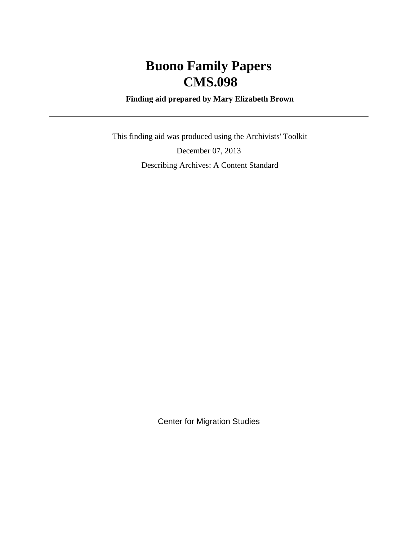# **Buono Family Papers CMS.098**

 **Finding aid prepared by Mary Elizabeth Brown**

 This finding aid was produced using the Archivists' Toolkit December 07, 2013 Describing Archives: A Content Standard

Center for Migration Studies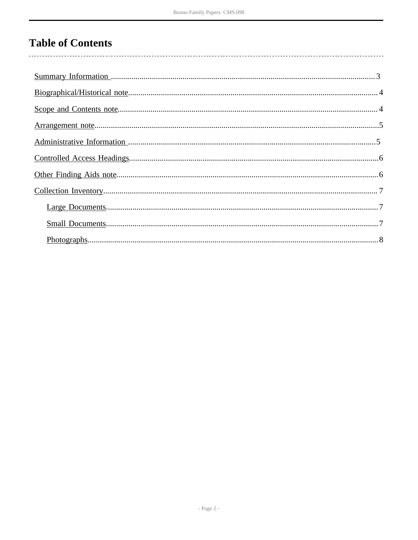# **Table of Contents**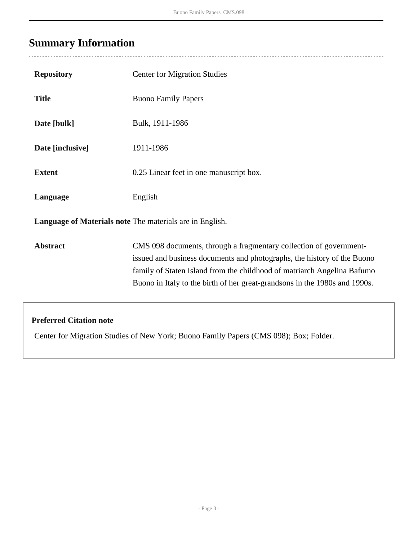# <span id="page-2-0"></span>**Summary Information**

 $\overline{a}$ 

| <b>Repository</b>                                               | <b>Center for Migration Studies</b>                                                                                                                                                                                                                                                                    |  |  |
|-----------------------------------------------------------------|--------------------------------------------------------------------------------------------------------------------------------------------------------------------------------------------------------------------------------------------------------------------------------------------------------|--|--|
| <b>Title</b>                                                    | <b>Buono Family Papers</b>                                                                                                                                                                                                                                                                             |  |  |
| Date [bulk]                                                     | Bulk, 1911-1986                                                                                                                                                                                                                                                                                        |  |  |
| Date [inclusive]                                                | 1911-1986                                                                                                                                                                                                                                                                                              |  |  |
| <b>Extent</b>                                                   | 0.25 Linear feet in one manuscript box.                                                                                                                                                                                                                                                                |  |  |
| Language                                                        | English                                                                                                                                                                                                                                                                                                |  |  |
| <b>Language of Materials note</b> The materials are in English. |                                                                                                                                                                                                                                                                                                        |  |  |
| <b>Abstract</b>                                                 | CMS 098 documents, through a fragmentary collection of government-<br>issued and business documents and photographs, the history of the Buono<br>family of Staten Island from the childhood of matriarch Angelina Bafumo<br>Buono in Italy to the birth of her great-grandsons in the 1980s and 1990s. |  |  |

### **Preferred Citation note**

Center for Migration Studies of New York; Buono Family Papers (CMS 098); Box; Folder.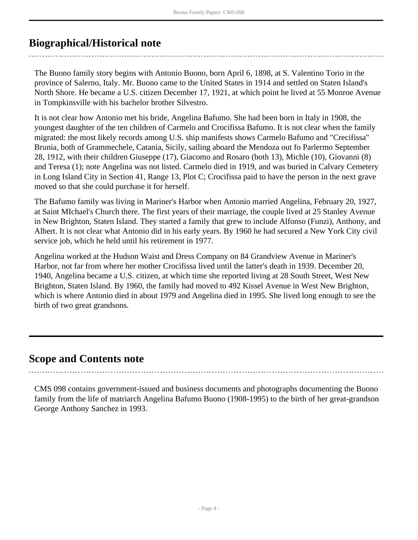## <span id="page-3-0"></span>**Biographical/Historical note**

The Buono family story begins with Antonio Buono, born April 6, 1898, at S. Valentino Torio in the province of Salerno, Italy. Mr. Buono came to the United States in 1914 and settled on Staten Island's North Shore. He became a U.S. citizen December 17, 1921, at which point he lived at 55 Monroe Avenue in Tompkinsville with his bachelor brother Silvestro.

It is not clear how Antonio met his bride, Angelina Bafumo. She had been born in Italy in 1908, the youngest daughter of the ten children of Carmelo and Crocifissa Bafumo. It is not clear when the family migrated: the most likely records among U.S. ship manifests shows Carmelo Bafumo and "Crecifissa" Brunia, both of Grammechele, Catania, Sicily, sailing aboard the Mendoza out fo Parlermo September 28, 1912, with their children Giuseppe (17), Giacomo and Rosaro (both 13), Michle (10), Giovanni (8) and Teresa (1); note Angelina was not listed. Carmelo died in 1919, and was buried in Calvary Cemetery in Long Island City in Section 41, Range 13, Plot C; Crocifissa paid to have the person in the next grave moved so that she could purchase it for herself.

The Bafumo family was living in Mariner's Harbor when Antonio married Angelina, February 20, 1927, at Saint MIchael's Church there. The first years of their marriage, the couple lived at 25 Stanley Avenue in New Brighton, Staten Island. They started a family that grew to include Alfonso (Funzi), Anthony, and Albert. It is not clear what Antonio did in his early years. By 1960 he had secured a New York City civil service job, which he held until his retirement in 1977.

Angelina worked at the Hudson Waist and Dress Company on 84 Grandview Avenue in Mariner's Harbor, not far from where her mother Crocifissa lived until the latter's death in 1939. December 20, 1940, Angelina became a U.S. citizen, at which time she reported living at 28 South Street, West New Brighton, Staten Island. By 1960, the family had moved to 492 Kissel Avenue in West New Brighton, which is where Antonio died in about 1979 and Angelina died in 1995. She lived long enough to see the birth of two great grandsons.

## <span id="page-3-1"></span>**Scope and Contents note**

CMS 098 contains government-issued and business documents and photographs documenting the Buono family from the life of matriarch Angelina Bafumo Buono (1908-1995) to the birth of her great-grandson George Anthony Sanchez in 1993.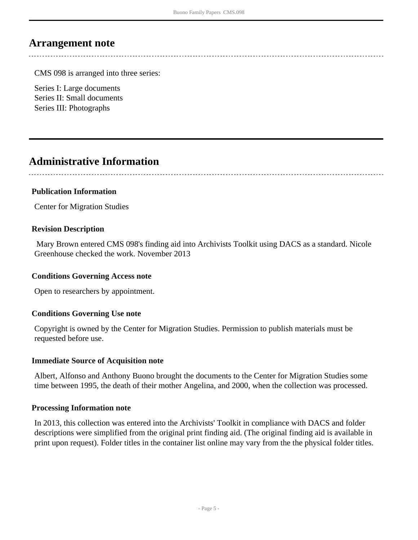### <span id="page-4-0"></span>**Arrangement note**

CMS 098 is arranged into three series:

Series I: Large documents Series II: Small documents Series III: Photographs

### <span id="page-4-1"></span>**Administrative Information**

#### **Publication Information**

Center for Migration Studies

#### **Revision Description**

 Mary Brown entered CMS 098's finding aid into Archivists Toolkit using DACS as a standard. Nicole Greenhouse checked the work. November 2013

#### **Conditions Governing Access note**

Open to researchers by appointment.

#### **Conditions Governing Use note**

Copyright is owned by the Center for Migration Studies. Permission to publish materials must be requested before use.

#### **Immediate Source of Acquisition note**

Albert, Alfonso and Anthony Buono brought the documents to the Center for Migration Studies some time between 1995, the death of their mother Angelina, and 2000, when the collection was processed.

#### **Processing Information note**

In 2013, this collection was entered into the Archivists' Toolkit in compliance with DACS and folder descriptions were simplified from the original print finding aid. (The original finding aid is available in print upon request). Folder titles in the container list online may vary from the the physical folder titles.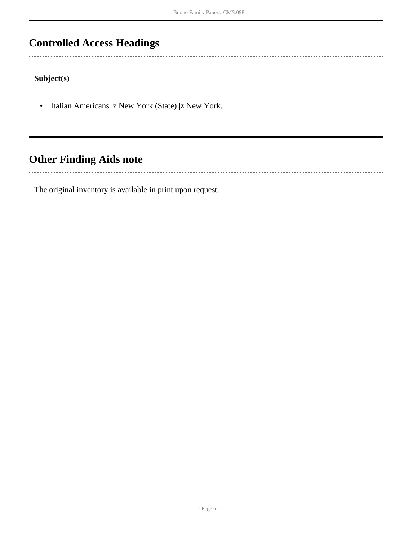## <span id="page-5-0"></span>**Controlled Access Headings**

**Subject(s)**

• Italian Americans |z New York (State) |z New York.

## <span id="page-5-1"></span>**Other Finding Aids note**

The original inventory is available in print upon request.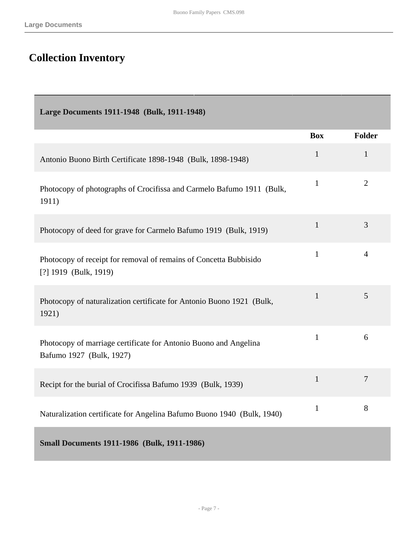## <span id="page-6-0"></span>**Collection Inventory**

<span id="page-6-2"></span><span id="page-6-1"></span>

| Large Documents 1911-1948 (Bulk, 1911-1948)                                                  |              |                |
|----------------------------------------------------------------------------------------------|--------------|----------------|
|                                                                                              | <b>Box</b>   | <b>Folder</b>  |
| Antonio Buono Birth Certificate 1898-1948 (Bulk, 1898-1948)                                  | $\mathbf{1}$ | $\mathbf{1}$   |
| Photocopy of photographs of Crocifissa and Carmelo Bafumo 1911 (Bulk,<br>1911)               | $\mathbf{1}$ | $\overline{2}$ |
| Photocopy of deed for grave for Carmelo Bafumo 1919 (Bulk, 1919)                             | $\mathbf{1}$ | 3              |
| Photocopy of receipt for removal of remains of Concetta Bubbisido<br>[?] 1919 (Bulk, 1919)   | $\mathbf{1}$ | $\overline{4}$ |
| Photocopy of naturalization certificate for Antonio Buono 1921 (Bulk,<br>1921)               | $\mathbf{1}$ | 5              |
| Photocopy of marriage certificate for Antonio Buono and Angelina<br>Bafumo 1927 (Bulk, 1927) | $\mathbf{1}$ | 6              |
| Recipt for the burial of Crocifissa Bafumo 1939 (Bulk, 1939)                                 | $\mathbf{1}$ | $\overline{7}$ |
| Naturalization certificate for Angelina Bafumo Buono 1940 (Bulk, 1940)                       | $\mathbf{1}$ | 8              |
| <b>Small Documents 1911-1986 (Bulk, 1911-1986)</b>                                           |              |                |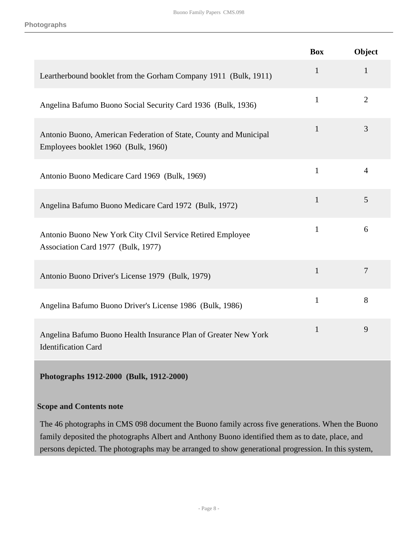|                                                                                                          | <b>Box</b>   | Object         |
|----------------------------------------------------------------------------------------------------------|--------------|----------------|
| Leartherbound booklet from the Gorham Company 1911 (Bulk, 1911)                                          | $\mathbf{1}$ | $\mathbf{1}$   |
| Angelina Bafumo Buono Social Security Card 1936 (Bulk, 1936)                                             | $\mathbf{1}$ | $\overline{2}$ |
| Antonio Buono, American Federation of State, County and Municipal<br>Employees booklet 1960 (Bulk, 1960) | $\mathbf{1}$ | 3              |
| Antonio Buono Medicare Card 1969 (Bulk, 1969)                                                            | $\mathbf{1}$ | $\overline{4}$ |
| Angelina Bafumo Buono Medicare Card 1972 (Bulk, 1972)                                                    | $\mathbf{1}$ | 5              |
| Antonio Buono New York City CIvil Service Retired Employee<br>Association Card 1977 (Bulk, 1977)         | $\mathbf{1}$ | 6              |
| Antonio Buono Driver's License 1979 (Bulk, 1979)                                                         | $\mathbf{1}$ | 7              |
| Angelina Bafumo Buono Driver's License 1986 (Bulk, 1986)                                                 | $\mathbf{1}$ | 8              |
| Angelina Bafumo Buono Health Insurance Plan of Greater New York<br><b>Identification Card</b>            | $\mathbf{1}$ | 9              |

<span id="page-7-0"></span>**Photographs 1912-2000 (Bulk, 1912-2000)**

#### **Scope and Contents note**

The 46 photographs in CMS 098 document the Buono family across five generations. When the Buono family deposited the photographs Albert and Anthony Buono identified them as to date, place, and persons depicted. The photographs may be arranged to show generational progression. In this system,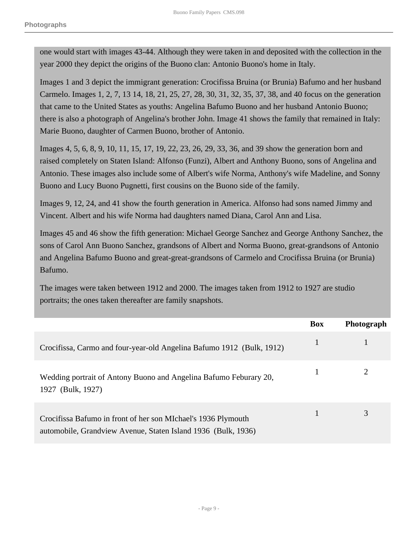one would start with images 43-44. Although they were taken in and deposited with the collection in the year 2000 they depict the origins of the Buono clan: Antonio Buono's home in Italy.

Images 1 and 3 depict the immigrant generation: Crocifissa Bruina (or Brunia) Bafumo and her husband Carmelo. Images 1, 2, 7, 13 14, 18, 21, 25, 27, 28, 30, 31, 32, 35, 37, 38, and 40 focus on the generation that came to the United States as youths: Angelina Bafumo Buono and her husband Antonio Buono; there is also a photograph of Angelina's brother John. Image 41 shows the family that remained in Italy: Marie Buono, daughter of Carmen Buono, brother of Antonio.

Images 4, 5, 6, 8, 9, 10, 11, 15, 17, 19, 22, 23, 26, 29, 33, 36, and 39 show the generation born and raised completely on Staten Island: Alfonso (Funzi), Albert and Anthony Buono, sons of Angelina and Antonio. These images also include some of Albert's wife Norma, Anthony's wife Madeline, and Sonny Buono and Lucy Buono Pugnetti, first cousins on the Buono side of the family.

Images 9, 12, 24, and 41 show the fourth generation in America. Alfonso had sons named Jimmy and Vincent. Albert and his wife Norma had daughters named Diana, Carol Ann and Lisa.

Images 45 and 46 show the fifth generation: Michael George Sanchez and George Anthony Sanchez, the sons of Carol Ann Buono Sanchez, grandsons of Albert and Norma Buono, great-grandsons of Antonio and Angelina Bafumo Buono and great-great-grandsons of Carmelo and Crocifissa Bruina (or Brunia) Bafumo.

The images were taken between 1912 and 2000. The images taken from 1912 to 1927 are studio portraits; the ones taken thereafter are family snapshots.

|                                                                                                                                | <b>Box</b>   | Photograph |
|--------------------------------------------------------------------------------------------------------------------------------|--------------|------------|
| Crocifissa, Carmo and four-year-old Angelina Bafumo 1912 (Bulk, 1912)                                                          | $\mathbf{1}$ |            |
| Wedding portrait of Antony Buono and Angelina Bafumo Feburary 20,<br>1927 (Bulk, 1927)                                         |              |            |
| Crocifissa Bafumo in front of her son MIchael's 1936 Plymouth<br>automobile, Grandview Avenue, Staten Island 1936 (Bulk, 1936) |              | 3          |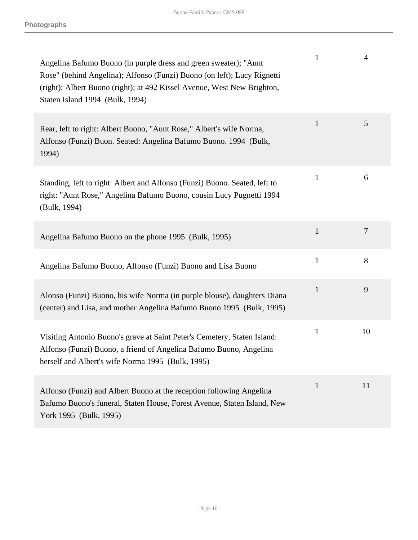| Angelina Bafumo Buono (in purple dress and green sweater); "Aunt<br>Rose" (behind Angelina); Alfonso (Funzi) Buono (on left); Lucy Rignetti<br>(right); Albert Buono (right); at 492 Kissel Avenue, West New Brighton,<br>Staten Island 1994 (Bulk, 1994) | 1            | 4              |
|-----------------------------------------------------------------------------------------------------------------------------------------------------------------------------------------------------------------------------------------------------------|--------------|----------------|
| Rear, left to right: Albert Buono, "Aunt Rose," Albert's wife Norma,<br>Alfonso (Funzi) Buon. Seated: Angelina Bafumo Buono. 1994 (Bulk,<br>1994)                                                                                                         | $\mathbf{1}$ | 5              |
| Standing, left to right: Albert and Alfonso (Funzi) Buono. Seated, left to<br>right: "Aunt Rose," Angelina Bafumo Buono, cousin Lucy Pugnetti 1994<br>(Bulk, 1994)                                                                                        | $\mathbf{1}$ | 6              |
| Angelina Bafumo Buono on the phone 1995 (Bulk, 1995)                                                                                                                                                                                                      | $\mathbf{1}$ | $\overline{7}$ |
| Angelina Bafumo Buono, Alfonso (Funzi) Buono and Lisa Buono                                                                                                                                                                                               | $\mathbf{1}$ | 8              |
| Alonso (Funzi) Buono, his wife Norma (in purple blouse), daughters Diana<br>(center) and Lisa, and mother Angelina Bafumo Buono 1995 (Bulk, 1995)                                                                                                         | $\mathbf{1}$ | 9              |
| Visiting Antonio Buono's grave at Saint Peter's Cemetery, Staten Island:<br>Alfonso (Funzi) Buono, a friend of Angelina Bafumo Buono, Angelina<br>herself and Albert's wife Norma 1995 (Bulk, 1995)                                                       | $\mathbf{1}$ | 10             |
| Alfonso (Funzi) and Albert Buono at the reception following Angelina<br>Bafumo Buono's funeral, Staten House, Forest Avenue, Staten Island, New<br>York 1995 (Bulk, 1995)                                                                                 | $\mathbf{1}$ | 11             |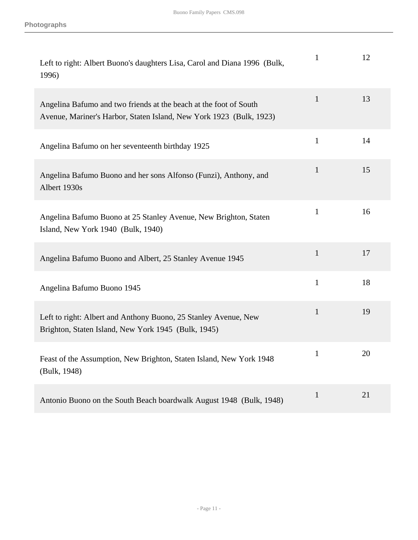| Left to right: Albert Buono's daughters Lisa, Carol and Diana 1996 (Bulk,<br>1996)                                                       | $\mathbf{1}$ | 12 |
|------------------------------------------------------------------------------------------------------------------------------------------|--------------|----|
| Angelina Bafumo and two friends at the beach at the foot of South<br>Avenue, Mariner's Harbor, Staten Island, New York 1923 (Bulk, 1923) | $\mathbf{1}$ | 13 |
| Angelina Bafumo on her seventeenth birthday 1925                                                                                         | $\mathbf{1}$ | 14 |
| Angelina Bafumo Buono and her sons Alfonso (Funzi), Anthony, and<br>Albert 1930s                                                         | $\mathbf{1}$ | 15 |
| Angelina Bafumo Buono at 25 Stanley Avenue, New Brighton, Staten<br>Island, New York 1940 (Bulk, 1940)                                   | $\mathbf{1}$ | 16 |
| Angelina Bafumo Buono and Albert, 25 Stanley Avenue 1945                                                                                 | $\mathbf{1}$ | 17 |
| Angelina Bafumo Buono 1945                                                                                                               | $\mathbf{1}$ | 18 |
| Left to right: Albert and Anthony Buono, 25 Stanley Avenue, New<br>Brighton, Staten Island, New York 1945 (Bulk, 1945)                   | $\mathbf{1}$ | 19 |
| Feast of the Assumption, New Brighton, Staten Island, New York 1948<br>(Bulk, 1948)                                                      | $\mathbf{1}$ | 20 |
| Antonio Buono on the South Beach boardwalk August 1948 (Bulk, 1948)                                                                      | $\mathbf{1}$ | 21 |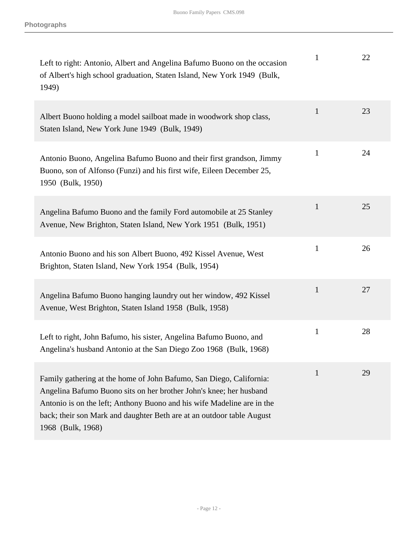| Left to right: Antonio, Albert and Angelina Bafumo Buono on the occasion<br>of Albert's high school graduation, Staten Island, New York 1949 (Bulk,<br>1949)                                                                                                                                                      | $\mathbf{1}$ | 22 |
|-------------------------------------------------------------------------------------------------------------------------------------------------------------------------------------------------------------------------------------------------------------------------------------------------------------------|--------------|----|
| Albert Buono holding a model sailboat made in woodwork shop class,<br>Staten Island, New York June 1949 (Bulk, 1949)                                                                                                                                                                                              | $\mathbf{1}$ | 23 |
| Antonio Buono, Angelina Bafumo Buono and their first grandson, Jimmy<br>Buono, son of Alfonso (Funzi) and his first wife, Eileen December 25,<br>1950 (Bulk, 1950)                                                                                                                                                | 1            | 24 |
| Angelina Bafumo Buono and the family Ford automobile at 25 Stanley<br>Avenue, New Brighton, Staten Island, New York 1951 (Bulk, 1951)                                                                                                                                                                             | $\mathbf{1}$ | 25 |
| Antonio Buono and his son Albert Buono, 492 Kissel Avenue, West<br>Brighton, Staten Island, New York 1954 (Bulk, 1954)                                                                                                                                                                                            | $\mathbf{1}$ | 26 |
| Angelina Bafumo Buono hanging laundry out her window, 492 Kissel<br>Avenue, West Brighton, Staten Island 1958 (Bulk, 1958)                                                                                                                                                                                        | $\mathbf{1}$ | 27 |
| Left to right, John Bafumo, his sister, Angelina Bafumo Buono, and<br>Angelina's husband Antonio at the San Diego Zoo 1968 (Bulk, 1968)                                                                                                                                                                           | $\mathbf{1}$ | 28 |
| Family gathering at the home of John Bafumo, San Diego, California:<br>Angelina Bafumo Buono sits on her brother John's knee; her husband<br>Antonio is on the left; Anthony Buono and his wife Madeline are in the<br>back; their son Mark and daughter Beth are at an outdoor table August<br>1968 (Bulk, 1968) | 1            | 29 |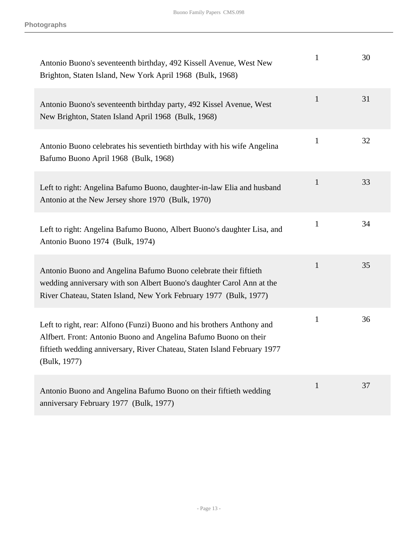| Antonio Buono's seventeenth birthday, 492 Kissell Avenue, West New<br>Brighton, Staten Island, New York April 1968 (Bulk, 1968)                                                                                                        | $\mathbf{1}$ | 30 |
|----------------------------------------------------------------------------------------------------------------------------------------------------------------------------------------------------------------------------------------|--------------|----|
| Antonio Buono's seventeenth birthday party, 492 Kissel Avenue, West<br>New Brighton, Staten Island April 1968 (Bulk, 1968)                                                                                                             | $\mathbf{1}$ | 31 |
| Antonio Buono celebrates his seventieth birthday with his wife Angelina<br>Bafumo Buono April 1968 (Bulk, 1968)                                                                                                                        | $\mathbf{1}$ | 32 |
| Left to right: Angelina Bafumo Buono, daughter-in-law Elia and husband<br>Antonio at the New Jersey shore 1970 (Bulk, 1970)                                                                                                            | $\mathbf{1}$ | 33 |
| Left to right: Angelina Bafumo Buono, Albert Buono's daughter Lisa, and<br>Antonio Buono 1974 (Bulk, 1974)                                                                                                                             | $\mathbf{1}$ | 34 |
| Antonio Buono and Angelina Bafumo Buono celebrate their fiftieth<br>wedding anniversary with son Albert Buono's daughter Carol Ann at the<br>River Chateau, Staten Island, New York February 1977 (Bulk, 1977)                         | $\mathbf{1}$ | 35 |
| Left to right, rear: Alfono (Funzi) Buono and his brothers Anthony and<br>Alfbert. Front: Antonio Buono and Angelina Bafumo Buono on their<br>fiftieth wedding anniversary, River Chateau, Staten Island February 1977<br>(Bulk, 1977) | $\mathbf{1}$ | 36 |
| Antonio Buono and Angelina Bafumo Buono on their fiftieth wedding<br>anniversary February 1977 (Bulk, 1977)                                                                                                                            | $\mathbf{1}$ | 37 |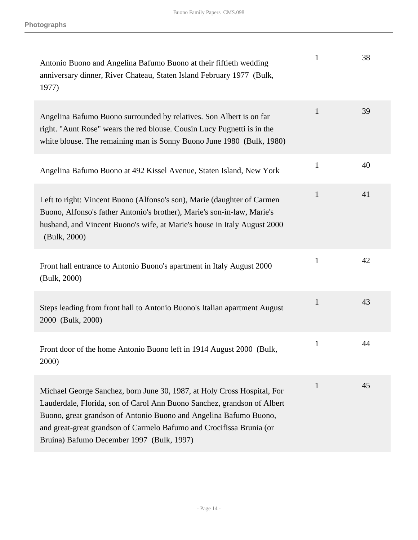| Antonio Buono and Angelina Bafumo Buono at their fiftieth wedding<br>anniversary dinner, River Chateau, Staten Island February 1977 (Bulk,<br>1977)                                                                                                                                                                                          | $\mathbf{1}$ | 38 |
|----------------------------------------------------------------------------------------------------------------------------------------------------------------------------------------------------------------------------------------------------------------------------------------------------------------------------------------------|--------------|----|
| Angelina Bafumo Buono surrounded by relatives. Son Albert is on far<br>right. "Aunt Rose" wears the red blouse. Cousin Lucy Pugnetti is in the<br>white blouse. The remaining man is Sonny Buono June 1980 (Bulk, 1980)                                                                                                                      | 1            | 39 |
| Angelina Bafumo Buono at 492 Kissel Avenue, Staten Island, New York                                                                                                                                                                                                                                                                          | $\mathbf{1}$ | 40 |
| Left to right: Vincent Buono (Alfonso's son), Marie (daughter of Carmen<br>Buono, Alfonso's father Antonio's brother), Marie's son-in-law, Marie's<br>husband, and Vincent Buono's wife, at Marie's house in Italy August 2000<br>(Bulk, 2000)                                                                                               | 1            | 41 |
| Front hall entrance to Antonio Buono's apartment in Italy August 2000<br>(Bulk, 2000)                                                                                                                                                                                                                                                        | 1            | 42 |
| Steps leading from front hall to Antonio Buono's Italian apartment August<br>2000 (Bulk, 2000)                                                                                                                                                                                                                                               | $\mathbf{1}$ | 43 |
| Front door of the home Antonio Buono left in 1914 August 2000 (Bulk,<br>2000)                                                                                                                                                                                                                                                                | 1            | 44 |
| Michael George Sanchez, born June 30, 1987, at Holy Cross Hospital, For<br>Lauderdale, Florida, son of Carol Ann Buono Sanchez, grandson of Albert<br>Buono, great grandson of Antonio Buono and Angelina Bafumo Buono,<br>and great-great grandson of Carmelo Bafumo and Crocifissa Brunia (or<br>Bruina) Bafumo December 1997 (Bulk, 1997) | $\mathbf{1}$ | 45 |